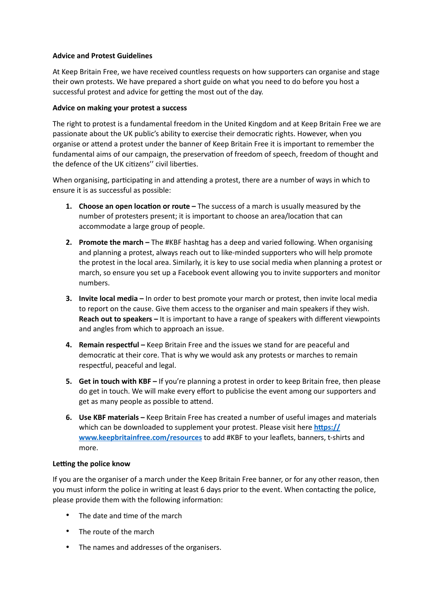## **Advice and Protest Guidelines**

At Keep Britain Free, we have received countless requests on how supporters can organise and stage their own protests. We have prepared a short guide on what you need to do before you host a successful protest and advice for getting the most out of the day.

## **Advice on making your protest a success**

The right to protest is a fundamental freedom in the United Kingdom and at Keep Britain Free we are passionate about the UK public's ability to exercise their democratic rights. However, when you organise or attend a protest under the banner of Keep Britain Free it is important to remember the fundamental aims of our campaign, the preservation of freedom of speech, freedom of thought and the defence of the UK citizens" civil liberties.

When organising, participating in and attending a protest, there are a number of ways in which to ensure it is as successful as possible:

- **1.** Choose an open location or route The success of a march is usually measured by the number of protesters present; it is important to choose an area/location that can accommodate a large group of people.
- **2. Promote the march –** The #KBF hashtag has a deep and varied following. When organising and planning a protest, always reach out to like-minded supporters who will help promote the protest in the local area. Similarly, it is key to use social media when planning a protest or march, so ensure you set up a Facebook event allowing you to invite supporters and monitor numbers.
- **3. Invite local media** In order to best promote your march or protest, then invite local media to report on the cause. Give them access to the organiser and main speakers if they wish. **Reach out to speakers –** It is important to have a range of speakers with different viewpoints and angles from which to approach an issue.
- **4. Remain respectful –** Keep Britain Free and the issues we stand for are peaceful and democratic at their core. That is why we would ask any protests or marches to remain respectful, peaceful and legal.
- **5. Get in touch with KBF** If you're planning a protest in order to keep Britain free, then please do get in touch. We will make every effort to publicise the event among our supporters and get as many people as possible to attend.
- **6. Use KBF materials –** Keep Britain Free has created a number of useful images and materials which can be downloaded to supplement your protest. Please visit here https:// **[www.keepbritainfree.com/resources](https://www.keepbritainfree.com/resources)** to add #KBF to your leaflets, banners, t-shirts and more.

## **Letting the police know**

If you are the organiser of a march under the Keep Britain Free banner, or for any other reason, then you must inform the police in writing at least 6 days prior to the event. When contacting the police, please provide them with the following information:

- $\bullet$  The date and time of the march
- The route of the march
- The names and addresses of the organisers.